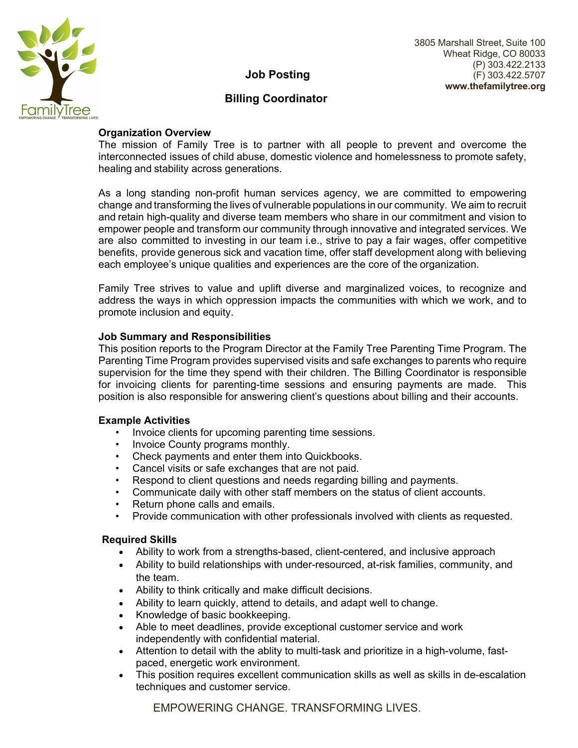

# **Job Posting**

## **Organization Overview**

The mission of Family Tree is to partner with all people to prevent and overcome the interconnected issues of child abuse, domestic violence and homelessness to promote safety, healing and stability across generations.

As a long standing non-profit human services agency, we are committed to empowering change and transforming the lives of vulnerable populations in our community. We aim to recruit and retain high-quality and diverse team members who share in our commitment and vision to empower people and transform our community through innovative and integrated services. We are also committed to investing in our team i.e., strive to pay a fair wages, offer competitive benefits, provide generous sick and vacation time, offer staff development along with believing each employee's unique qualities and experiences are the core of the organization.

Family Tree strives to value and uplift diverse and marginalized voices, to recognize and address the ways in which oppression impacts the communities with which we work, and to promote inclusion and equity.

## **Job Summary and Responsibilities**

This position reports to the Program Director at the Family Tree Parenting Time Program. The Parenting Time Program provides supervised visits and safe exchanges to parents who require supervision for the time they spend with their children. The Billing Coordinator is responsible for invoicing clients for parenting-time sessions and ensuring payments are made. This position is also responsible for answering client's questions about billing and their accounts.

## **Example Activities**

- Invoice clients for upcoming parenting time sessions.
- Invoice County programs monthly.
- Check payments and enter them into Quickbooks.
- Cancel visits or safe exchanges that are not paid.
- Respond to client questions and needs regarding billing and payments.
- Communicate daily with other staff members on the status of client accounts.
- Return phone calls and emails.
- Provide communication with other professionals involved with clients as requested.

## **Required Skills**

- Ability to work from a strengths-based, client-centered, and inclusive approach
- Ability to build relationships with under-resourced, at-risk families, community, and the team.
- Ability to think critically and make difficult decisions.
- Ability to learn quickly, attend to details, and adapt well to change.
- Knowledge of basic bookkeeping.
- Able to meet deadlines, provide exceptional customer service and work independently with confidential material.
- Attention to detail with the ablity to multi-task and prioritize in a high-volume, fastpaced, energetic work environment.
- This position requires excellent communication skills as well as skills in de-escalation techniques and customer service.

EMPOWERING CHANGE. TRANSFORMING LIVES.